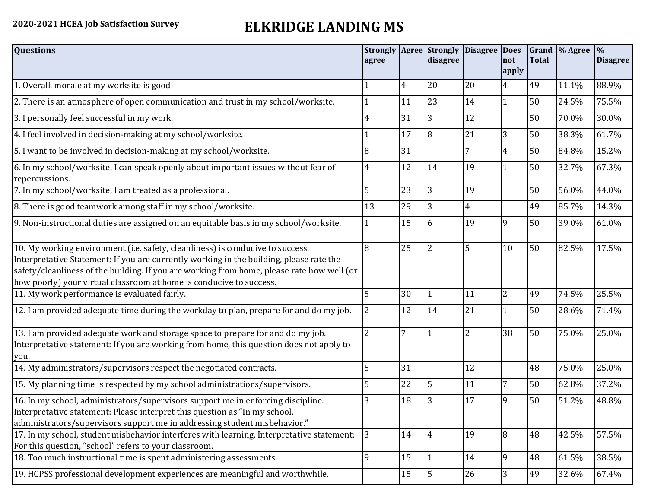## **2020-2021 HCEA Job Satisfaction Survey ELKRIDGE LANDING MS**

| <b>Questions</b>                                                                                                                                                                                                                                                                                                                               | agree          |    | <b>Strongly   Agree   Strongly</b><br>disagree | <b>Disagree Does</b> | not<br>apply   | <b>Total</b> | Grand  % Agree | $\frac{0}{0}$<br><b>Disagree</b> |
|------------------------------------------------------------------------------------------------------------------------------------------------------------------------------------------------------------------------------------------------------------------------------------------------------------------------------------------------|----------------|----|------------------------------------------------|----------------------|----------------|--------------|----------------|----------------------------------|
| 1. Overall, morale at my worksite is good                                                                                                                                                                                                                                                                                                      |                | 4  | 20                                             | 20                   | 4              | 49           | 11.1%          | 88.9%                            |
| 2. There is an atmosphere of open communication and trust in my school/worksite.                                                                                                                                                                                                                                                               |                | 11 | 23                                             | 14                   | $\mathbf{1}$   | 50           | 24.5%          | 75.5%                            |
| 3. I personally feel successful in my work.                                                                                                                                                                                                                                                                                                    | 4              | 31 | 3                                              | 12                   |                | 50           | 70.0%          | 30.0%                            |
| 4. I feel involved in decision-making at my school/worksite.                                                                                                                                                                                                                                                                                   |                | 17 | $\overline{8}$                                 | 21                   | $\overline{3}$ | 50           | 38.3%          | 61.7%                            |
| 5. I want to be involved in decision-making at my school/worksite.                                                                                                                                                                                                                                                                             | 8              | 31 |                                                |                      | 4              | 50           | 84.8%          | 15.2%                            |
| 6. In my school/worksite, I can speak openly about important issues without fear of<br>repercussions.                                                                                                                                                                                                                                          | 4              | 12 | 14                                             | 19                   | 1              | 50           | 32.7%          | 67.3%                            |
| 7. In my school/worksite, I am treated as a professional.                                                                                                                                                                                                                                                                                      | 5              | 23 | 3                                              | 19                   |                | 50           | 56.0%          | 44.0%                            |
| 8. There is good teamwork among staff in my school/worksite.                                                                                                                                                                                                                                                                                   | 13             | 29 | 3                                              | 4                    |                | 49           | 85.7%          | 14.3%                            |
| 9. Non-instructional duties are assigned on an equitable basis in my school/worksite.                                                                                                                                                                                                                                                          |                | 15 | 6                                              | 19                   | 9              | 50           | 39.0%          | 61.0%                            |
| 10. My working environment (i.e. safety, cleanliness) is conducive to success.<br>Interpretative Statement: If you are currently working in the building, please rate the<br>safety/cleanliness of the building. If you are working from home, please rate how well (or<br>how poorly) your virtual classroom at home is conducive to success. | 8              | 25 | $\overline{2}$                                 | 5                    | 10             | 50           | 82.5%          | 17.5%                            |
| 11. My work performance is evaluated fairly.                                                                                                                                                                                                                                                                                                   | 5              | 30 |                                                | 11                   | $\overline{2}$ | 49           | 74.5%          | 25.5%                            |
| 12. I am provided adequate time during the workday to plan, prepare for and do my job.                                                                                                                                                                                                                                                         | 2              | 12 | 14                                             | 21                   | 1              | 50           | 28.6%          | 71.4%                            |
| 13. I am provided adequate work and storage space to prepare for and do my job.<br>Interpretative statement: If you are working from home, this question does not apply to<br>you.                                                                                                                                                             | $\overline{2}$ |    |                                                | $\overline{2}$       | 38             | 50           | 75.0%          | 25.0%                            |
| 14. My administrators/supervisors respect the negotiated contracts.                                                                                                                                                                                                                                                                            | 5              | 31 |                                                | 12                   |                | 48           | 75.0%          | 25.0%                            |
| 15. My planning time is respected by my school administrations/supervisors.                                                                                                                                                                                                                                                                    | 5              | 22 | 5                                              | 11                   | 7              | 50           | 62.8%          | 37.2%                            |
| 16. In my school, administrators/supervisors support me in enforcing discipline.<br>Interpretative statement: Please interpret this question as "In my school,<br>administrators/supervisors support me in addressing student misbehavior."                                                                                                    | 3              | 18 | 3                                              | 17                   | 9              | 50           | 51.2%          | 48.8%                            |
| 17. In my school, student misbehavior interferes with learning. Interpretative statement:<br>For this question, "school" refers to your classroom.                                                                                                                                                                                             | 3              | 14 | $\overline{4}$                                 | 19                   | 8              | 48           | 42.5%          | 57.5%                            |
| 18. Too much instructional time is spent administering assessments.                                                                                                                                                                                                                                                                            | 9              | 15 | l 1                                            | 14                   | 9              | 48           | 61.5%          | 38.5%                            |
| 19. HCPSS professional development experiences are meaningful and worthwhile.                                                                                                                                                                                                                                                                  |                | 15 | 5                                              | 26                   | 3              | 49           | 32.6%          | 67.4%                            |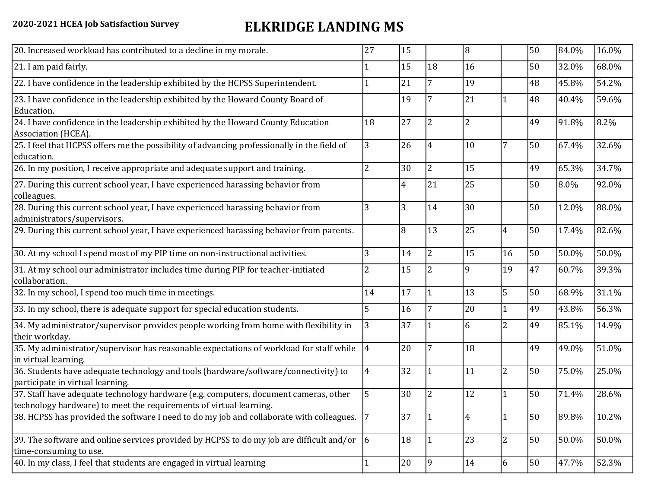## **2020-2021 HCEA Job Satisfaction Survey ELKRIDGE LANDING MS**

| 20. Increased workload has contributed to a decline in my morale.                                                                                          | 27             | 15 |                 | 8              |                | 50 | 84.0% | 16.0% |
|------------------------------------------------------------------------------------------------------------------------------------------------------------|----------------|----|-----------------|----------------|----------------|----|-------|-------|
| 21. I am paid fairly.                                                                                                                                      |                | 15 | 18              | 16             |                | 50 | 32.0% | 68.0% |
| 22. I have confidence in the leadership exhibited by the HCPSS Superintendent.                                                                             |                | 21 | $7\overline{ }$ | 19             |                | 48 | 45.8% | 54.2% |
| 23. I have confidence in the leadership exhibited by the Howard County Board of<br>Education.                                                              |                | 19 | $7\overline{ }$ | 21             | 1              | 48 | 40.4% | 59.6% |
| 24. I have confidence in the leadership exhibited by the Howard County Education<br>Association (HCEA).                                                    | 18             | 27 | $\overline{2}$  | $\overline{2}$ |                | 49 | 91.8% | 8.2%  |
| 25. I feel that HCPSS offers me the possibility of advancing professionally in the field of<br>education.                                                  | 3              | 26 | 4               | 10             | 7              | 50 | 67.4% | 32.6% |
| 26. In my position, I receive appropriate and adequate support and training.                                                                               | $\overline{2}$ | 30 | I2              | 15             |                | 49 | 65.3% | 34.7% |
| 27. During this current school year, I have experienced harassing behavior from<br>colleagues.                                                             |                | 4  | 21              | 25             |                | 50 | 8.0%  | 92.0% |
| 28. During this current school year, I have experienced harassing behavior from<br>administrators/supervisors.                                             | 3              | 3  | 14              | 30             |                | 50 | 12.0% | 88.0% |
| 29. During this current school year, I have experienced harassing behavior from parents.                                                                   |                | 8  | 13              | 25             | $\overline{4}$ | 50 | 17.4% | 82.6% |
| 30. At my school I spend most of my PIP time on non-instructional activities.                                                                              | 3              | 14 | l2              | 15             | 16             | 50 | 50.0% | 50.0% |
| 31. At my school our administrator includes time during PIP for teacher-initiated<br>collaboration.                                                        |                | 15 | $\overline{2}$  | 9              | 19             | 47 | 60.7% | 39.3% |
| 32. In my school, I spend too much time in meetings.                                                                                                       | 14             | 17 | 11              | 13             | 5              | 50 | 68.9% | 31.1% |
| 33. In my school, there is adequate support for special education students.                                                                                | 5              | 16 | $7\overline{ }$ | 20             | $\mathbf{1}$   | 49 | 43.8% | 56.3% |
| 34. My administrator/supervisor provides people working from home with flexibility in<br>their workday.                                                    | 3              | 37 | l 1             | 6              | $\overline{2}$ | 49 | 85.1% | 14.9% |
| 35. My administrator/supervisor has reasonable expectations of workload for staff while<br>in virtual learning.                                            | $\overline{4}$ | 20 | $7\overline{ }$ | 18             |                | 49 | 49.0% | 51.0% |
| 36. Students have adequate technology and tools (hardware/software/connectivity) to<br>participate in virtual learning.                                    | 4              | 32 |                 | 11             | $\overline{2}$ | 50 | 75.0% | 25.0% |
| 37. Staff have adequate technology hardware (e.g. computers, document cameras, other<br>technology hardware) to meet the requirements of virtual learning. | 5.             | 30 | $\overline{2}$  | 12             | $\mathbf{1}$   | 50 | 71.4% | 28.6% |
| 38. HCPSS has provided the software I need to do my job and collaborate with colleagues.                                                                   | 7              | 37 | 1               | 4              | 1              | 50 | 89.8% | 10.2% |
| 39. The software and online services provided by HCPSS to do my job are difficult and/or $\vert 6 \vert$<br>time-consuming to use.                         |                | 18 | l1              | 23             | $\overline{2}$ | 50 | 50.0% | 50.0% |
| 40. In my class, I feel that students are engaged in virtual learning                                                                                      | 1              | 20 | $ 9\rangle$     | 14             | 6              | 50 | 47.7% | 52.3% |
|                                                                                                                                                            |                |    |                 |                |                |    |       |       |